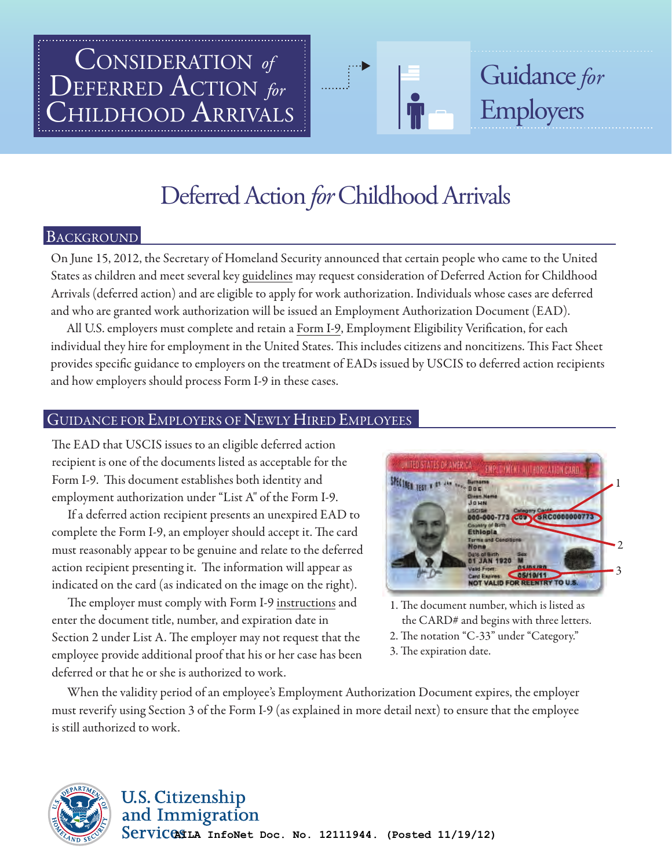# hildhood Arrivals DEFERRED ACTION *for* CONSIDERATION *of*

# Deferred Action *for* Childhood Arrivals

#### BACKGROUND

On June 15, 2012, the Secretary of Homeland Security announced that certain people who came to the United States as children and meet several k[ey guidelines ma](http://www.uscis.gov/portal/site/uscis/menuitem.eb1d4c2a3e5b9ac89243c6a7543f6d1a/?vgnextoid=f2ef2f19470f7310VgnVCM100000082ca60aRCRD&vgnextchannel=f2ef2f19470f7310VgnVCM100000082ca60aRCRD)y request consideration of Deferred Action for Childhood Arrivals (deferred action) and are eligible to apply for work authorization. Individuals whose cases are deferred and who are granted work authorization will be issued an Employment Authorization Document (EAD).

All U.S. employers must complete and retai[n a Form I-9, Em](http://www.uscis.gov/portal/site/uscis/menuitem.5af9bb95919f35e66f614176543f6d1a/?vgnextoid=31b3ab0a43b5d010VgnVCM10000048f3d6a1RCRD&vgnextchannel=db029c7755cb9010VgnVCM10000045f3d6a1RCRD)ployment Eligibility Verification, for each individual they hire for employment in the United States. This includes citizens and noncitizens. This Fact Sheet provides specific guidance to employers on the treatment of EADs issued by USCIS to deferred action recipients and how employers should process Form I-9 in these cases.

#### GUIDANCE FOR EMPLOYERS OF NEWLY HIRED EMPLOYEES

The EAD that USCIS issues to an eligible deferred action recipient is one of the documents listed as acceptable for the Form I-9. This document establishes both identity and employment authorization under "List A" of the Form I-9.

 If a deferred action recipient presents an unexpired EAD to complete the Form I-9, an employer should accept it. The card must reasonably appear to be genuine and relate to the deferred action recipient presenting it. The information will appear as indicated on the card (as indicated on the image on the right).

The employer must comply with Form I-9 instructions and enter the document title, number, and expiration date in Section 2 under List A. The employer may not request that the employee provide additional proof that his or her case has been deferred or that he or she is authorized to work.



Guidance*for* 

Employers

1. The document number, which is listed as the CARD# and begins with three letters.

2. The notation "C-33" under "Category."

3. The expiration date.

 When the validity period of an employee's Employment Authorization Document expires, the employer must reverify using Section 3 of the Form I-9 (as explained in more detail next) to ensure that the employee is still authorized to work.